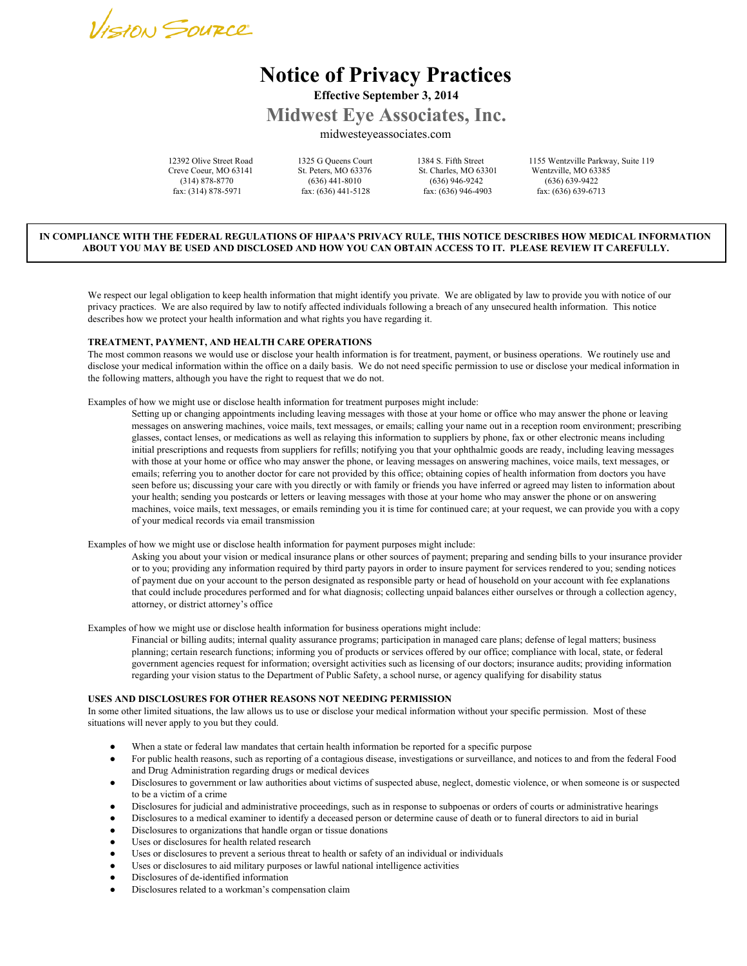

# **Notice of Privacy Practices Effective September 3, 2014**

**Midwest Eye Associates, Inc.**

midwesteyeassociates.com

Creve Coeur, MO 63141 St. Peters, MO 63376 St. Charles, MO 63301 Wentzville, MO 63385<br>
(314) 878-8770 (636) 441-8010 (636) 946-9242 (636) 639-9422 fax: (314) 878-5971 fax: (636) 441-5128 fax: (636) 946-4903 fax: (636) 639-6713

(636) 441-8010 (636) 946-9242<br>ax: (636) 441-5128 fax: (636) 946-4903

12392 Olive Street Road 1325 G Queens Court 1384 S. Fifth Street 1155 Wentzville Parkway, Suite 119

# IN COMPLIANCE WITH THE FEDERAL REGULATIONS OF HIPAA'S PRIVACY RULE. THIS NOTICE DESCRIBES HOW MEDICAL INFORMATION ABOUT YOU MAY BE USED AND DISCLOSED AND HOW YOU CAN OBTAIN ACCESS TO IT. PLEASE REVIEW IT CAREFULLY.

We respect our legal obligation to keep health information that might identify you private. We are obligated by law to provide you with notice of our privacy practices. We are also required by law to notify affected individuals following a breach of any unsecured health information. This notice describes how we protect your health information and what rights you have regarding it.

### **TREATMENT, PAYMENT, AND HEALTH CARE OPERATIONS**

The most common reasons we would use or disclose your health information is for treatment, payment, or business operations. We routinely use and disclose your medical information within the office on a daily basis. We do not need specific permission to use or disclose your medical information in the following matters, although you have the right to request that we do not.

Examples of how we might use or disclose health information for treatment purposes might include:

Setting up or changing appointments including leaving messages with those at your home or office who may answer the phone or leaving messages on answering machines, voice mails, text messages, or emails; calling your name out in a reception room environment; prescribing glasses, contact lenses, or medications as well as relaying this information to suppliers by phone, fax or other electronic means including initial prescriptions and requests from suppliers for refills; notifying you that your ophthalmic goods are ready, including leaving messages with those at your home or office who may answer the phone, or leaving messages on answering machines, voice mails, text messages, or emails; referring you to another doctor for care not provided by this office; obtaining copies of health information from doctors you have seen before us; discussing your care with you directly or with family or friends you have inferred or agreed may listen to information about your health; sending you postcards or letters or leaving messages with those at your home who may answer the phone or on answering machines, voice mails, text messages, or emails reminding you it is time for continued care; at your request, we can provide you with a copy of your medical records via email transmission

Examples of how we might use or disclose health information for payment purposes might include:

Asking you about your vision or medical insurance plans or other sources of payment; preparing and sending bills to your insurance provider or to you; providing any information required by third party payors in order to insure payment for services rendered to you; sending notices of payment due on your account to the person designated as responsible party or head of household on your account with fee explanations that could include procedures performed and for what diagnosis; collecting unpaid balances either ourselves or through a collection agency, attorney, or district attorney's office

Examples of how we might use or disclose health information for business operations might include:

Financial or billing audits; internal quality assurance programs; participation in managed care plans; defense of legal matters; business planning; certain research functions; informing you of products or services offered by our office; compliance with local, state, or federal government agencies request for information; oversight activities such as licensing of our doctors; insurance audits; providing information regarding your vision status to the Department of Public Safety, a school nurse, or agency qualifying for disability status

#### **USES AND DISCLOSURES FOR OTHER REASONS NOT NEEDING PERMISSION**

In some other limited situations, the law allows us to use or disclose your medical information without your specific permission. Most of these situations will never apply to you but they could.

- When a state or federal law mandates that certain health information be reported for a specific purpose
- For public health reasons, such as reporting of a contagious disease, investigations or surveillance, and notices to and from the federal Food and Drug Administration regarding drugs or medical devices
- Disclosures to government or law authorities about victims of suspected abuse, neglect, domestic violence, or when someone is or suspected to be a victim of a crime
- Disclosures for judicial and administrative proceedings, such as in response to subpoenas or orders of courts or administrative hearings
- Disclosures to a medical examiner to identify a deceased person or determine cause of death or to funeral directors to aid in burial
- Disclosures to organizations that handle organ or tissue donations
- Uses or disclosures for health related research
- Uses or disclosures to prevent a serious threat to health or safety of an individual or individuals
- Uses or disclosures to aid military purposes or lawful national intelligence activities
- Disclosures of de-identified information
- Disclosures related to a workman's compensation claim